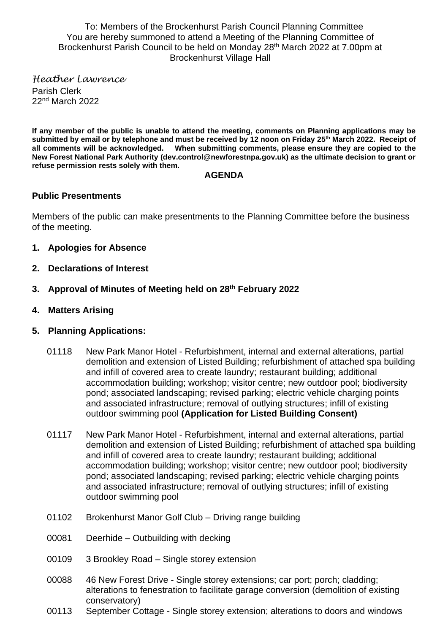To: Members of the Brockenhurst Parish Council Planning Committee You are hereby summoned to attend a Meeting of the Planning Committee of Brockenhurst Parish Council to be held on Monday 28<sup>th</sup> March 2022 at 7.00pm at Brockenhurst Village Hall

*Heather Lawrence* Parish Clerk 22<sup>nd</sup> March 2022

**If any member of the public is unable to attend the meeting, comments on Planning applications may be submitted by email or by telephone and must be received by 12 noon on Friday 25 th March 2022. Receipt of all comments will be acknowledged. When submitting comments, please ensure they are copied to the New Forest National Park Authority (dev.control@newforestnpa.gov.uk) as the ultimate decision to grant or refuse permission rests solely with them.**

### **AGENDA**

## **Public Presentments**

Members of the public can make presentments to the Planning Committee before the business of the meeting.

- **1. Apologies for Absence**
- **2. Declarations of Interest**
- **3. Approval of Minutes of Meeting held on 28 th February 2022**
- **4. Matters Arising**
- **5. Planning Applications:**
	- 01118 New Park Manor Hotel Refurbishment, internal and external alterations, partial demolition and extension of Listed Building; refurbishment of attached spa building and infill of covered area to create laundry; restaurant building; additional accommodation building; workshop; visitor centre; new outdoor pool; biodiversity pond; associated landscaping; revised parking; electric vehicle charging points and associated infrastructure; removal of outlying structures; infill of existing outdoor swimming pool **(Application for Listed Building Consent)**
	- 01117 New Park Manor Hotel Refurbishment, internal and external alterations, partial demolition and extension of Listed Building; refurbishment of attached spa building and infill of covered area to create laundry; restaurant building; additional accommodation building; workshop; visitor centre; new outdoor pool; biodiversity pond; associated landscaping; revised parking; electric vehicle charging points and associated infrastructure; removal of outlying structures; infill of existing outdoor swimming pool
	- 01102 Brokenhurst Manor Golf Club Driving range building
	- 00081 Deerhide Outbuilding with decking
	- 00109 3 Brookley Road Single storey extension
	- 00088 46 New Forest Drive Single storey extensions; car port; porch; cladding; alterations to fenestration to facilitate garage conversion (demolition of existing conservatory)
	- 00113 September Cottage Single storey extension; alterations to doors and windows